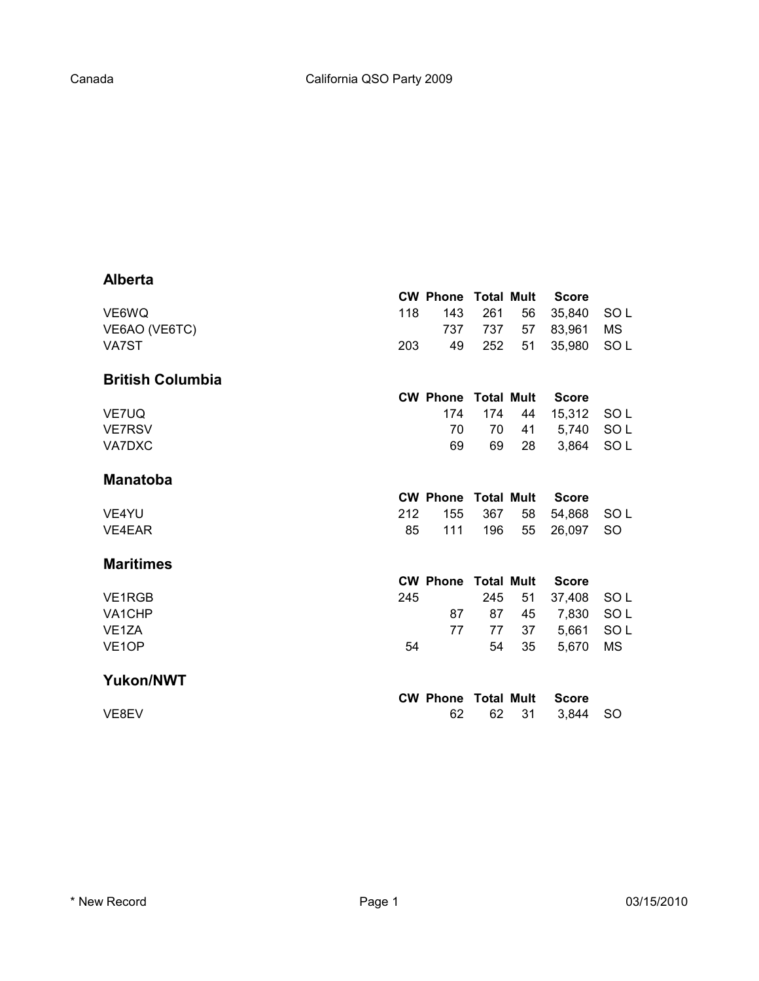## **Alberta**

|                          | <b>CW Phone</b> | <b>Total Mult</b> |    | <b>Score</b> |                 |
|--------------------------|-----------------|-------------------|----|--------------|-----------------|
| 118<br>VE6WQ             | 143             | 261               | 56 | 35,840       | SO <sub>L</sub> |
| VE6AO (VE6TC)            | 737             | 737               | 57 | 83,961       | <b>MS</b>       |
| VA7ST<br>203             | 49              | 252               | 51 | 35,980       | SO <sub>L</sub> |
| <b>British Columbia</b>  |                 |                   |    |              |                 |
|                          | <b>CW Phone</b> | Total Mult        |    | <b>Score</b> |                 |
| VE7UQ                    | 174             | 174               | 44 | 15,312       | SO L            |
| <b>VE7RSV</b>            | 70              | 70                | 41 | 5,740        | SO <sub>L</sub> |
| VA7DXC                   | 69              | 69                | 28 | 3,864        | SO <sub>L</sub> |
| <b>Manatoba</b>          |                 |                   |    |              |                 |
|                          | <b>CW Phone</b> | <b>Total Mult</b> |    | <b>Score</b> |                 |
| 212<br>VE4YU             | 155             | 367               | 58 | 54,868       | SO <sub>L</sub> |
| 85<br>VE4EAR             | 111             | 196               | 55 | 26,097       | <b>SO</b>       |
| <b>Maritimes</b>         |                 |                   |    |              |                 |
|                          | <b>CW Phone</b> | <b>Total Mult</b> |    | <b>Score</b> |                 |
| 245<br>VE1RGB            |                 | 245               | 51 | 37,408       | SO <sub>L</sub> |
| VA1CHP                   | 87              | 87                | 45 | 7,830        | SO <sub>L</sub> |
| VE <sub>1</sub> ZA       | 77              | 77                | 37 | 5,661        | SO <sub>L</sub> |
| VE <sub>1</sub> OP<br>54 |                 | 54                | 35 | 5,670        | <b>MS</b>       |
| <b>Yukon/NWT</b>         |                 |                   |    |              |                 |
|                          | <b>CW Phone</b> | <b>Total Mult</b> |    | <b>Score</b> |                 |
| VE8EV                    | 62              | 62                | 31 | 3,844        | <b>SO</b>       |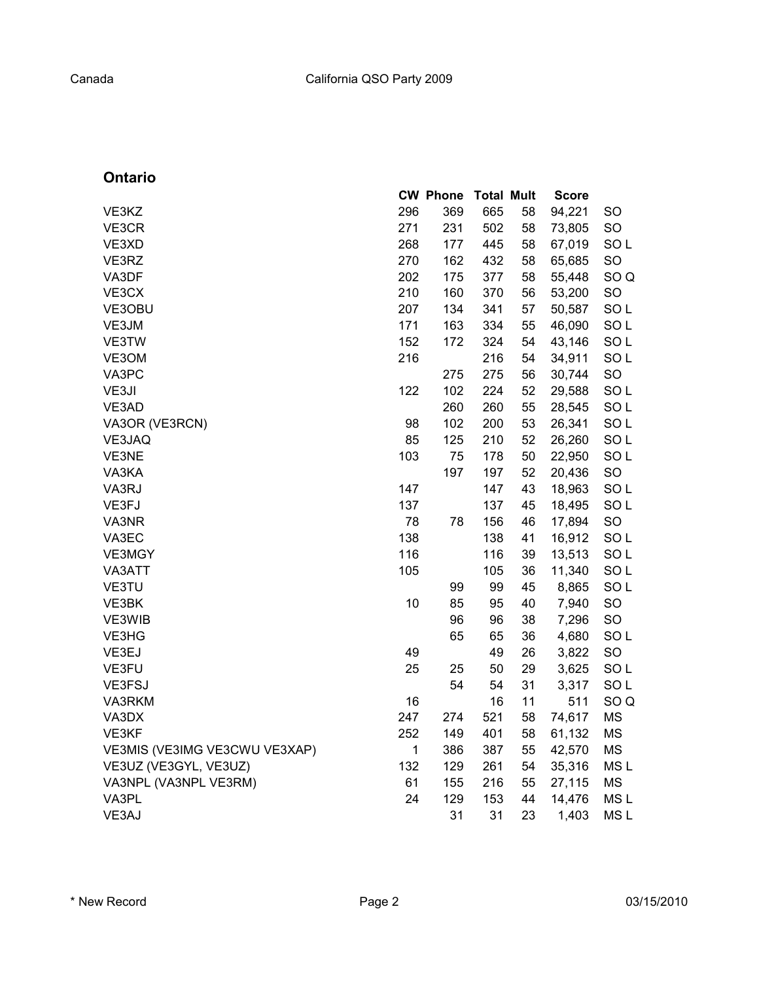## **Ontario**

|                               |              | <b>CW Phone</b> | <b>Total Mult</b> |    | <b>Score</b> |                 |
|-------------------------------|--------------|-----------------|-------------------|----|--------------|-----------------|
| VE3KZ                         | 296          | 369             | 665               | 58 | 94,221       | <b>SO</b>       |
| VE3CR                         | 271          | 231             | 502               | 58 | 73,805       | SO              |
| VE3XD                         | 268          | 177             | 445               | 58 | 67,019       | SO <sub>L</sub> |
| VE3RZ                         | 270          | 162             | 432               | 58 | 65,685       | SO              |
| VA3DF                         | 202          | 175             | 377               | 58 | 55,448       | SO <sub>Q</sub> |
| VE3CX                         | 210          | 160             | 370               | 56 | 53,200       | SO              |
| VE3OBU                        | 207          | 134             | 341               | 57 | 50,587       | SO <sub>L</sub> |
| VE3JM                         | 171          | 163             | 334               | 55 | 46,090       | SO <sub>L</sub> |
| VE3TW                         | 152          | 172             | 324               | 54 | 43,146       | SO <sub>L</sub> |
| VE3OM                         | 216          |                 | 216               | 54 | 34,911       | SO <sub>L</sub> |
| VA3PC                         |              | 275             | 275               | 56 | 30,744       | SO              |
| VE3JI                         | 122          | 102             | 224               | 52 | 29,588       | SO <sub>L</sub> |
| VE3AD                         |              | 260             | 260               | 55 | 28,545       | SO <sub>L</sub> |
| VA3OR (VE3RCN)                | 98           | 102             | 200               | 53 | 26,341       | SO <sub>L</sub> |
| VE3JAQ                        | 85           | 125             | 210               | 52 | 26,260       | SO <sub>L</sub> |
| VE3NE                         | 103          | 75              | 178               | 50 | 22,950       | SO <sub>L</sub> |
| VA3KA                         |              | 197             | 197               | 52 | 20,436       | SO              |
| VA3RJ                         | 147          |                 | 147               | 43 | 18,963       | SO <sub>L</sub> |
| VE3FJ                         | 137          |                 | 137               | 45 | 18,495       | SO <sub>L</sub> |
| VA3NR                         | 78           | 78              | 156               | 46 | 17,894       | SO              |
| VA3EC                         | 138          |                 | 138               | 41 | 16,912       | SO <sub>L</sub> |
| VE3MGY                        | 116          |                 | 116               | 39 | 13,513       | SO <sub>L</sub> |
| VA3ATT                        | 105          |                 | 105               | 36 | 11,340       | SO <sub>L</sub> |
| VE3TU                         |              | 99              | 99                | 45 | 8,865        | SO <sub>L</sub> |
| VE3BK                         | 10           | 85              | 95                | 40 | 7,940        | SO              |
| VE3WIB                        |              | 96              | 96                | 38 | 7,296        | SO              |
| VE3HG                         |              | 65              | 65                | 36 | 4,680        | SO <sub>L</sub> |
| VE3EJ                         | 49           |                 | 49                | 26 | 3,822        | SO              |
| VE3FU                         | 25           | 25              | 50                | 29 | 3,625        | SO <sub>L</sub> |
| VE3FSJ                        |              | 54              | 54                | 31 | 3,317        | SO <sub>L</sub> |
| VA3RKM                        | 16           |                 | 16                | 11 | 511          | SO <sub>Q</sub> |
| VA3DX                         | 247          | 274             | 521               | 58 | 74,617       | <b>MS</b>       |
| VE3KF                         | 252          | 149             | 401               | 58 | 61,132       | <b>MS</b>       |
| VE3MIS (VE3IMG VE3CWU VE3XAP) | $\mathbf{1}$ | 386             | 387               | 55 | 42,570       | <b>MS</b>       |
| VE3UZ (VE3GYL, VE3UZ)         | 132          | 129             | 261               | 54 | 35,316       | MS <sub>L</sub> |
| VA3NPL (VA3NPL VE3RM)         | 61           | 155             | 216               | 55 | 27,115       | <b>MS</b>       |
| VA3PL                         | 24           | 129             | 153               | 44 | 14,476       | MS <sub>L</sub> |
| VE3AJ                         |              | 31              | 31                | 23 | 1,403        | MS <sub>L</sub> |
|                               |              |                 |                   |    |              |                 |